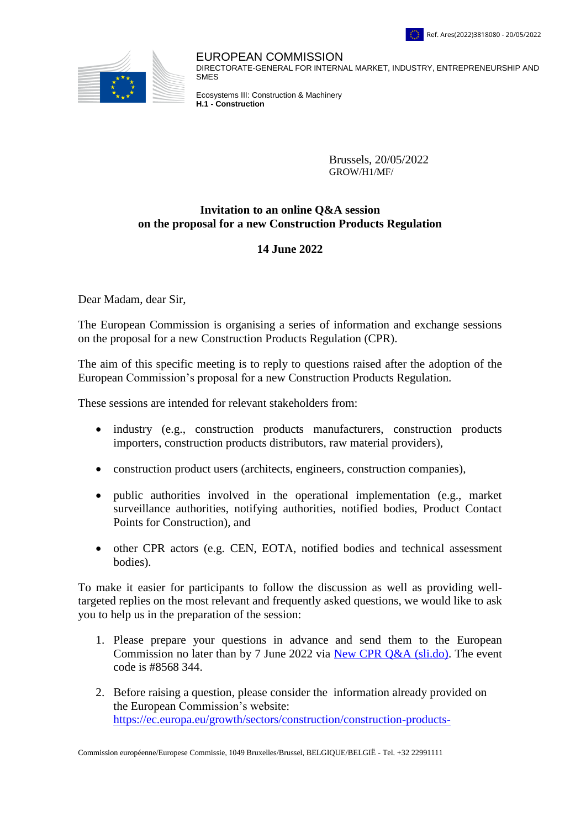



EUROPEAN COMMISSION DIRECTORATE-GENERAL FOR INTERNAL MARKET, INDUSTRY, ENTREPRENEURSHIP AND **SM<sub>E</sub>S** 

Ecosystems III: Construction & Machinery **H.1 - Construction**

> Brussels, 20/05/2022 GROW/H1/MF/

## **Invitation to an online Q&A session on the proposal for a new Construction Products Regulation**

## **14 June 2022**

Dear Madam, dear Sir,

The European Commission is organising a series of information and exchange sessions on the proposal for a new Construction Products Regulation (CPR).

The aim of this specific meeting is to reply to questions raised after the adoption of the European Commission's proposal for a new Construction Products Regulation.

These sessions are intended for relevant stakeholders from:

- industry (e.g., construction products manufacturers, construction products importers, construction products distributors, raw material providers),
- construction product users (architects, engineers, construction companies),
- public authorities involved in the operational implementation (e.g., market surveillance authorities, notifying authorities, notified bodies, Product Contact Points for Construction), and
- other CPR actors (e.g. CEN, EOTA, notified bodies and technical assessment bodies).

To make it easier for participants to follow the discussion as well as providing welltargeted replies on the most relevant and frequently asked questions, we would like to ask you to help us in the preparation of the session:

- 1. Please prepare your questions in advance and send them to the European Commission no later than by 7 June 2022 via [New CPR Q&A \(sli.do\).](https://app.sli.do/event/cuxc4ZC4iwerjhkthfxCrt/live/polls) The event code is #8568 344.
- 2. Before raising a question, please consider the information already provided on the European Commission's website: [https://ec.europa.eu/growth/sectors/construction/construction-products-](https://ec.europa.eu/growth/sectors/construction/construction-products-regulation-cpr/review_en)

Commission européenne/Europese Commissie, 1049 Bruxelles/Brussel, BELGIQUE/BELGIË - Tel. +32 22991111